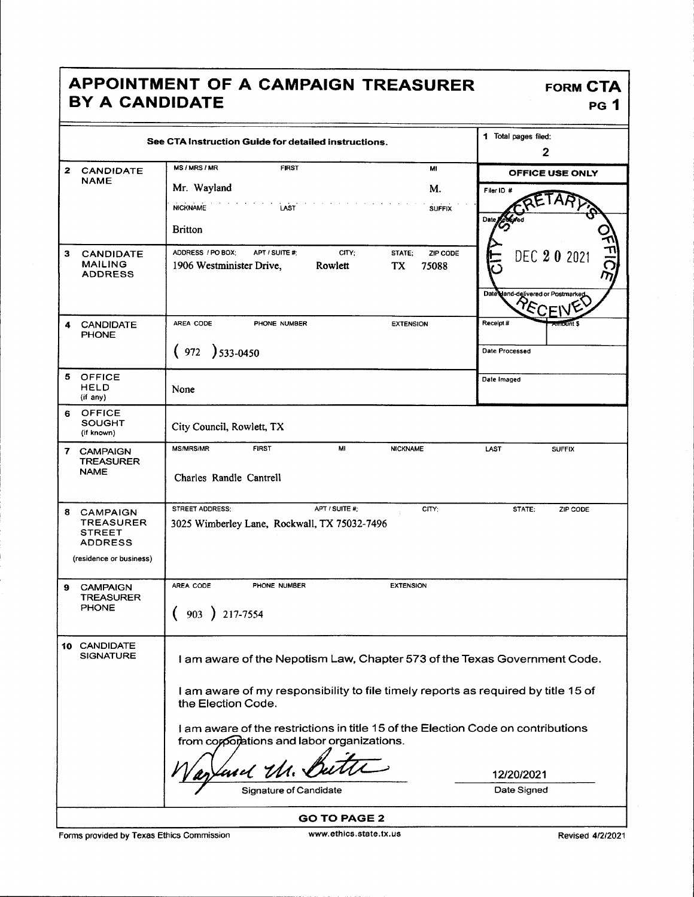## APPOINTMENT OF A CAMPAIGN TREASURER FORM CTA BY A CANDIDATE PG 1

|              |                                                                                                   | See CTA Instruction Guide for detailed instructions.                                                                           | 1 Total pages filed:<br>$\boldsymbol{2}$                |
|--------------|---------------------------------------------------------------------------------------------------|--------------------------------------------------------------------------------------------------------------------------------|---------------------------------------------------------|
| $\mathbf{z}$ | <b>CANDIDATE</b>                                                                                  | <b>MS/MRS/MR</b><br><b>FIRST</b><br>MI                                                                                         | <b>OFFICE USE ONLY</b>                                  |
|              | <b>NAME</b>                                                                                       | Mr. Wayland<br>M.                                                                                                              | Filer ID #                                              |
|              |                                                                                                   | <b>NICKNAME</b><br>LAST<br><b>SUFFIX</b>                                                                                       |                                                         |
|              |                                                                                                   | <b>Britton</b>                                                                                                                 | Dat                                                     |
| 3            | <b>CANDIDATE</b><br><b>MAILING</b><br><b>ADDRESS</b>                                              | ADDRESS / PO BOX;<br>APT / SUITE #:<br>CITY:<br>ZIP CODE<br>STATE:<br>1906 Westminister Drive,<br>Rowlett<br>TX<br>75088       | かけに<br>DEC 20 2021<br>Date dand-delivered or Postmarker |
| 4            | <b>CANDIDATE</b><br><b>PHONE</b>                                                                  | AREA CODE<br>PHONE NUMBER<br><b>EXTENSION</b>                                                                                  | Receipt #<br>oūnt \$                                    |
|              |                                                                                                   | $(972) 533 - 0450$                                                                                                             | Date Processed                                          |
|              | 5 OFFICE<br><b>HELD</b><br>(if any)                                                               | None                                                                                                                           | Date Imaged                                             |
| 6            | <b>OFFICE</b><br>SOUGHT<br>(if known)                                                             | City Council, Rowlett, TX                                                                                                      |                                                         |
| 7.           | <b>CAMPAIGN</b><br><b>TREASURER</b><br><b>NAME</b>                                                | MI<br><b>MS/MRS/MR</b><br><b>FIRST</b><br><b>NICKNAME</b><br>Charles Randle Cantrell                                           | <b>LAST</b><br><b>SUFFIX</b>                            |
| 8            | <b>CAMPAIGN</b><br><b>TREASURER</b><br><b>STREET</b><br><b>ADDRESS</b><br>(residence or business) | STREET ADDRESS:<br>APT / SUITE #;<br>CITY:<br>3025 Wimberley Lane, Rockwall, TX 75032-7496                                     | STATE;<br>ZIP CODE                                      |
| 9            | <b>CAMPAIGN</b>                                                                                   | AREA CODE<br>PHONE NUMBER<br><b>EXTENSION</b>                                                                                  |                                                         |
|              | <b>TREASURER</b><br>PHONE                                                                         | 903<br>217-7554                                                                                                                |                                                         |
|              | 10 CANDIDATE<br><b>SIGNATURE</b>                                                                  | I am aware of the Nepotism Law, Chapter 573 of the Texas Government Code.                                                      |                                                         |
|              |                                                                                                   | I am aware of my responsibility to file timely reports as required by title 15 of<br>the Election Code.                        |                                                         |
|              |                                                                                                   | I am aware of the restrictions in title 15 of the Election Code on contributions<br>from corporations and labor organizations. |                                                         |
|              |                                                                                                   | 'and Ur. &                                                                                                                     | 12/20/2021                                              |
|              |                                                                                                   | <b>Signature of Candidate</b>                                                                                                  | Date Signed                                             |
|              |                                                                                                   | <b>GO TO PAGE 2</b>                                                                                                            |                                                         |

Forms provided by Texas Ethics Commission www.ethics.state.tx.us Revised 4/2/2021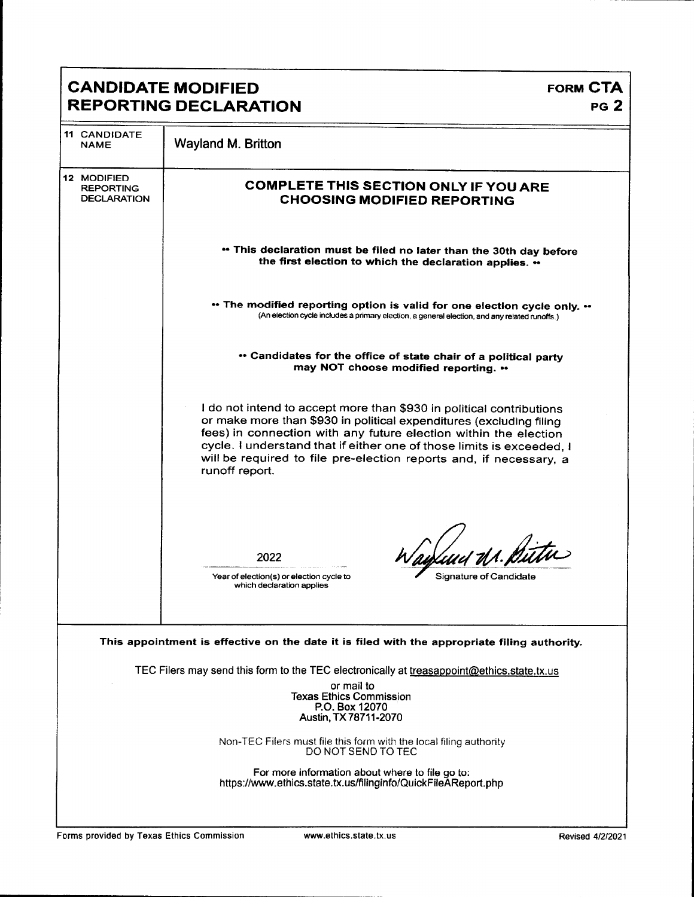|                                                       | <b>CANDIDATE MODIFIED</b>                                                                                                                                                                                                                                                                                                                                                        | <b>FORM CTA</b> |
|-------------------------------------------------------|----------------------------------------------------------------------------------------------------------------------------------------------------------------------------------------------------------------------------------------------------------------------------------------------------------------------------------------------------------------------------------|-----------------|
|                                                       | <b>REPORTING DECLARATION</b>                                                                                                                                                                                                                                                                                                                                                     | PG <sub>2</sub> |
| <b>11 CANDIDATE</b><br><b>NAME</b>                    | Wayland M. Britton                                                                                                                                                                                                                                                                                                                                                               |                 |
| 12 MODIFIED<br><b>REPORTING</b><br><b>DECLARATION</b> | <b>COMPLETE THIS SECTION ONLY IF YOU ARE</b><br><b>CHOOSING MODIFIED REPORTING</b>                                                                                                                                                                                                                                                                                               |                 |
|                                                       | • This declaration must be filed no later than the 30th day before<br>the first election to which the declaration applies. ••                                                                                                                                                                                                                                                    |                 |
|                                                       | ** The modified reporting option is valid for one election cycle only. **<br>(An election cycle includes a primary election, a general election, and any related runoffs.)                                                                                                                                                                                                       |                 |
|                                                       | • Candidates for the office of state chair of a political party<br>may NOT choose modified reporting. **                                                                                                                                                                                                                                                                         |                 |
|                                                       | I do not intend to accept more than \$930 in political contributions<br>or make more than \$930 in political expenditures (excluding filing<br>fees) in connection with any future election within the election<br>cycle. I understand that if either one of those limits is exceeded, I<br>will be required to file pre-election reports and, if necessary, a<br>runoff report. |                 |
|                                                       | ud dr. Dútu<br>2022<br>Year of election(s) or election cycle to<br>Signature of Candidate                                                                                                                                                                                                                                                                                        |                 |
|                                                       | which declaration applies                                                                                                                                                                                                                                                                                                                                                        |                 |
|                                                       | This appointment is effective on the date it is filed with the appropriate filing authority.                                                                                                                                                                                                                                                                                     |                 |
|                                                       | TEC Filers may send this form to the TEC electronically at treasappoint@ethics.state.tx.us<br>or mail to                                                                                                                                                                                                                                                                         |                 |
|                                                       | <b>Texas Ethics Commission</b><br>P.O. Box 12070<br>Austin, TX 78711-2070                                                                                                                                                                                                                                                                                                        |                 |
|                                                       | Non-TEC Filers must file this form with the local filing authority<br>DO NOT SEND TO TEC                                                                                                                                                                                                                                                                                         |                 |
|                                                       | For more information about where to file go to:<br>https://www.ethics.state.tx.us/filinginfo/QuickFileAReport.php                                                                                                                                                                                                                                                                |                 |
|                                                       |                                                                                                                                                                                                                                                                                                                                                                                  |                 |

Г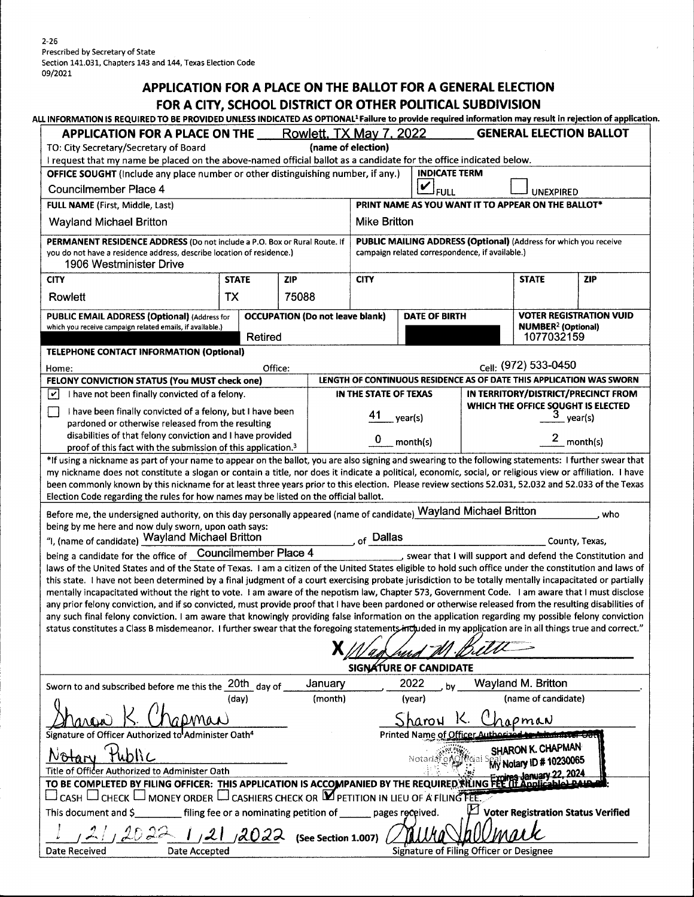$2 - 26$ Prescribed by Secretary of State Section 141. 031, Chapters 143 and 144, Texas Election Code 09/2021

## APPLICATION FOR A PLACE ON THE BALLOT FOR A GENERAL ELECTION FOR A CITY, SCHOOL DISTRICT OR OTHER POLITICAL SUBDIVISION

| ALL INFORMATION IS REQUIRED TO BE PROVIDED UNLESS INDICATED AS OPTIONAL <sup>1</sup> Failure to provide required information may result in rejection of applicatio                                                                                                                                                                                                                                                                                                                                                                                                                                                                                                                                                                                                                                                                                                                                                                                                                                                                                                                                                                                            |       |            |         |                                                      |        |                      |                                                 |                                                                  |                                                           |
|---------------------------------------------------------------------------------------------------------------------------------------------------------------------------------------------------------------------------------------------------------------------------------------------------------------------------------------------------------------------------------------------------------------------------------------------------------------------------------------------------------------------------------------------------------------------------------------------------------------------------------------------------------------------------------------------------------------------------------------------------------------------------------------------------------------------------------------------------------------------------------------------------------------------------------------------------------------------------------------------------------------------------------------------------------------------------------------------------------------------------------------------------------------|-------|------------|---------|------------------------------------------------------|--------|----------------------|-------------------------------------------------|------------------------------------------------------------------|-----------------------------------------------------------|
| <b>APPLICATION FOR A PLACE ON THE</b><br>TO: City Secretary/Secretary of Board                                                                                                                                                                                                                                                                                                                                                                                                                                                                                                                                                                                                                                                                                                                                                                                                                                                                                                                                                                                                                                                                                |       |            |         | <b>Rowlett, TX May 7, 2022</b><br>(name of election) |        |                      |                                                 |                                                                  | <b>GENERAL ELECTION BALLOT</b>                            |
| I request that my name be placed on the above-named official ballot as a candidate for the office indicated below.                                                                                                                                                                                                                                                                                                                                                                                                                                                                                                                                                                                                                                                                                                                                                                                                                                                                                                                                                                                                                                            |       |            |         |                                                      |        |                      |                                                 |                                                                  |                                                           |
| OFFICE SOUGHT (Include any place number or other distinguishing number, if any.)                                                                                                                                                                                                                                                                                                                                                                                                                                                                                                                                                                                                                                                                                                                                                                                                                                                                                                                                                                                                                                                                              |       |            |         |                                                      |        | <b>INDICATE TERM</b> |                                                 |                                                                  |                                                           |
| <b>Councilmember Place 4</b>                                                                                                                                                                                                                                                                                                                                                                                                                                                                                                                                                                                                                                                                                                                                                                                                                                                                                                                                                                                                                                                                                                                                  |       |            |         |                                                      | V      | <b>FULL</b>          |                                                 | <b>UNEXPIRED</b>                                                 |                                                           |
| FULL NAME (First, Middle, Last)                                                                                                                                                                                                                                                                                                                                                                                                                                                                                                                                                                                                                                                                                                                                                                                                                                                                                                                                                                                                                                                                                                                               |       |            |         |                                                      |        |                      |                                                 | PRINT NAME AS YOU WANT IT TO APPEAR ON THE BALLOT*               |                                                           |
| <b>Wayland Michael Britton</b>                                                                                                                                                                                                                                                                                                                                                                                                                                                                                                                                                                                                                                                                                                                                                                                                                                                                                                                                                                                                                                                                                                                                |       |            |         | Mike Britton                                         |        |                      |                                                 |                                                                  |                                                           |
| PERMANENT RESIDENCE ADDRESS (Do not include a P.O. Box or Rural Route. If<br>you do not have a residence address, describe location of residence.)<br>1906 Westminister Drive                                                                                                                                                                                                                                                                                                                                                                                                                                                                                                                                                                                                                                                                                                                                                                                                                                                                                                                                                                                 |       |            |         |                                                      |        |                      | campaign related correspondence, if available.) | PUBLIC MAILING ADDRESS (Optional) (Address for which you receive |                                                           |
|                                                                                                                                                                                                                                                                                                                                                                                                                                                                                                                                                                                                                                                                                                                                                                                                                                                                                                                                                                                                                                                                                                                                                               |       | <b>ZIP</b> |         | <b>CITY</b>                                          |        |                      |                                                 | <b>STATE</b>                                                     | <b>ZIP</b>                                                |
| Rowlett                                                                                                                                                                                                                                                                                                                                                                                                                                                                                                                                                                                                                                                                                                                                                                                                                                                                                                                                                                                                                                                                                                                                                       | TX    |            |         |                                                      |        |                      |                                                 |                                                                  |                                                           |
| <b>CITY</b><br><b>STATE</b><br>75088<br><b>VOTER REGISTRATION VUID</b><br><b>OCCUPATION (Do not leave blank)</b><br>PUBLIC EMAIL ADDRESS (Optional) (Address for<br><b>DATE OF BIRTH</b><br><b>NUMBER<sup>2</sup> (Optional)</b><br>which you receive campaign related emails, if available.)<br>1077032159<br>Retired<br><b>TELEPHONE CONTACT INFORMATION (Optional)</b><br>Cell: (972) 533-0450<br>Office:<br>Home:<br>LENGTH OF CONTINUOUS RESIDENCE AS OF DATE THIS APPLICATION WAS SWORN<br>FELONY CONVICTION STATUS (You MUST check one)<br>I have not been finally convicted of a felony.<br>IN TERRITORY/DISTRICT/PRECINCT FROM<br>IN THE STATE OF TEXAS<br>∣✔<br>WHICH THE OFFICE SOUGHT IS ELECTED<br>$\frac{3}{2}$ year(s)<br>I have been finally convicted of a felony, but I have been<br>L.<br>$\_$ year(s)<br>pardoned or otherwise released from the resulting<br>disabilities of that felony conviction and I have provided<br>$2$ <sub>month(s)</sub><br>0<br>month(s)<br>proof of this fact with the submission of this application. <sup>3</sup><br>Election Code regarding the rules for how names may be listed on the official ballot. |       |            |         |                                                      |        |                      |                                                 |                                                                  |                                                           |
|                                                                                                                                                                                                                                                                                                                                                                                                                                                                                                                                                                                                                                                                                                                                                                                                                                                                                                                                                                                                                                                                                                                                                               |       |            |         |                                                      |        |                      |                                                 |                                                                  |                                                           |
|                                                                                                                                                                                                                                                                                                                                                                                                                                                                                                                                                                                                                                                                                                                                                                                                                                                                                                                                                                                                                                                                                                                                                               |       |            |         |                                                      |        |                      |                                                 |                                                                  |                                                           |
|                                                                                                                                                                                                                                                                                                                                                                                                                                                                                                                                                                                                                                                                                                                                                                                                                                                                                                                                                                                                                                                                                                                                                               |       |            |         |                                                      |        |                      |                                                 |                                                                  |                                                           |
|                                                                                                                                                                                                                                                                                                                                                                                                                                                                                                                                                                                                                                                                                                                                                                                                                                                                                                                                                                                                                                                                                                                                                               |       |            |         |                                                      |        |                      |                                                 |                                                                  |                                                           |
|                                                                                                                                                                                                                                                                                                                                                                                                                                                                                                                                                                                                                                                                                                                                                                                                                                                                                                                                                                                                                                                                                                                                                               |       |            |         |                                                      |        |                      |                                                 |                                                                  |                                                           |
| *If using a nickname as part of your name to appear on the ballot, you are also signing and swearing to the following statements: I further swear that<br>my nickname does not constitute a slogan or contain a title, nor does it indicate a political, economic, social, or religious view or affiliation. I have<br>been commonly known by this nickname for at least three years prior to this election. Please review sections 52.031, 52.032 and 52.033 of the Texas                                                                                                                                                                                                                                                                                                                                                                                                                                                                                                                                                                                                                                                                                    |       |            |         |                                                      |        |                      |                                                 |                                                                  |                                                           |
|                                                                                                                                                                                                                                                                                                                                                                                                                                                                                                                                                                                                                                                                                                                                                                                                                                                                                                                                                                                                                                                                                                                                                               |       |            |         |                                                      |        |                      |                                                 |                                                                  |                                                           |
| Before me, the undersigned authority, on this day personally appeared (name of candidate) Wayland Michael Britton<br>who                                                                                                                                                                                                                                                                                                                                                                                                                                                                                                                                                                                                                                                                                                                                                                                                                                                                                                                                                                                                                                      |       |            |         |                                                      |        |                      |                                                 |                                                                  |                                                           |
|                                                                                                                                                                                                                                                                                                                                                                                                                                                                                                                                                                                                                                                                                                                                                                                                                                                                                                                                                                                                                                                                                                                                                               |       |            |         |                                                      |        |                      |                                                 |                                                                  |                                                           |
| being by me here and now duly sworn, upon oath says:<br>"I, (name of candidate) Wayland Michael Britton                                                                                                                                                                                                                                                                                                                                                                                                                                                                                                                                                                                                                                                                                                                                                                                                                                                                                                                                                                                                                                                       |       |            |         | $\frac{1}{\sqrt{2}}$ of $\frac{1}{\sqrt{2}}$ Dallas  |        |                      |                                                 |                                                                  | County, Texas,                                            |
| being a candidate for the office of Councilmember Place 4                                                                                                                                                                                                                                                                                                                                                                                                                                                                                                                                                                                                                                                                                                                                                                                                                                                                                                                                                                                                                                                                                                     |       |            |         |                                                      |        |                      |                                                 |                                                                  | swear that I will support and defend the Constitution and |
| laws of the United States and of the State of Texas. I am a citizen of the United States eligible to hold such office under the constitution and laws of<br>this state. I have not been determined by a final judgment of a court exercising probate jurisdiction to be totally mentally incapacitated or partially<br>mentally incapacitated without the right to vote. I am aware of the nepotism law, Chapter 573, Government Code. I am aware that I must disclose<br>any prior felony conviction, and if so convicted, must provide proof that I have been pardoned or otherwise released from the resulting disabilities of<br>any such final felony conviction. I am aware that knowingly providing false information on the application regarding my possible felony conviction<br>status constitutes a Class B misdemeanor. I further swear that the foregoing statements included in my application are in all things true and correct."                                                                                                                                                                                                            |       |            |         | SIGNATURE OF CANDIDATE                               |        |                      |                                                 |                                                                  |                                                           |
| Sworn to and subscribed before me this the 20th day of                                                                                                                                                                                                                                                                                                                                                                                                                                                                                                                                                                                                                                                                                                                                                                                                                                                                                                                                                                                                                                                                                                        |       |            | January |                                                      | 2022   | bv                   |                                                 | Wayland M. Britton                                               |                                                           |
|                                                                                                                                                                                                                                                                                                                                                                                                                                                                                                                                                                                                                                                                                                                                                                                                                                                                                                                                                                                                                                                                                                                                                               | (day) |            | (month) |                                                      | (year) |                      |                                                 | (name of candidate)                                              |                                                           |
|                                                                                                                                                                                                                                                                                                                                                                                                                                                                                                                                                                                                                                                                                                                                                                                                                                                                                                                                                                                                                                                                                                                                                               |       |            |         |                                                      | Sharow |                      |                                                 | pmaN                                                             |                                                           |
| Signature of Officer Authorized to Administer Oath <sup>4</sup>                                                                                                                                                                                                                                                                                                                                                                                                                                                                                                                                                                                                                                                                                                                                                                                                                                                                                                                                                                                                                                                                                               |       |            |         |                                                      |        |                      | <b>Printed Name of Officer Authorized</b>       |                                                                  | <b>Second Contract Contract Contract Contract</b>         |
|                                                                                                                                                                                                                                                                                                                                                                                                                                                                                                                                                                                                                                                                                                                                                                                                                                                                                                                                                                                                                                                                                                                                                               |       |            |         |                                                      |        |                      |                                                 | SHARON K. CHAPMAN                                                |                                                           |
| Title of Officer Authorized to Administer Oath                                                                                                                                                                                                                                                                                                                                                                                                                                                                                                                                                                                                                                                                                                                                                                                                                                                                                                                                                                                                                                                                                                                |       |            |         |                                                      |        |                      |                                                 | Notartal One fficial Spall Notary ID # 10230065                  |                                                           |
| TO BE COMPLETED BY FILING OFFICER: THIS APPLICATION IS ACCOMPANIED BY THE REQUIRED RILING FEE IT Applicables Pass                                                                                                                                                                                                                                                                                                                                                                                                                                                                                                                                                                                                                                                                                                                                                                                                                                                                                                                                                                                                                                             |       |            |         |                                                      |        |                      |                                                 |                                                                  |                                                           |
| $\Box$ CASH $\Box$ CHECK $\Box$ MONEY ORDER $\Box$ CASHIERS CHECK OR $\boxtimes$ PETITION IN LIEU OF A FILING FEE.<br>filing fee or a nominating petition of _______ pages received.<br>This document and \$                                                                                                                                                                                                                                                                                                                                                                                                                                                                                                                                                                                                                                                                                                                                                                                                                                                                                                                                                  |       |            |         |                                                      |        |                      |                                                 |                                                                  | $\mathfrak l$ Voter Registration Status Verified          |
| $1,20,22$ $1,21,20,22$ (see Section 1.007)                                                                                                                                                                                                                                                                                                                                                                                                                                                                                                                                                                                                                                                                                                                                                                                                                                                                                                                                                                                                                                                                                                                    |       |            |         |                                                      |        |                      |                                                 |                                                                  |                                                           |
| <b>Date Received</b><br>Date Accepted                                                                                                                                                                                                                                                                                                                                                                                                                                                                                                                                                                                                                                                                                                                                                                                                                                                                                                                                                                                                                                                                                                                         |       |            |         |                                                      |        |                      | Signature of Filing Officer or Designee         |                                                                  |                                                           |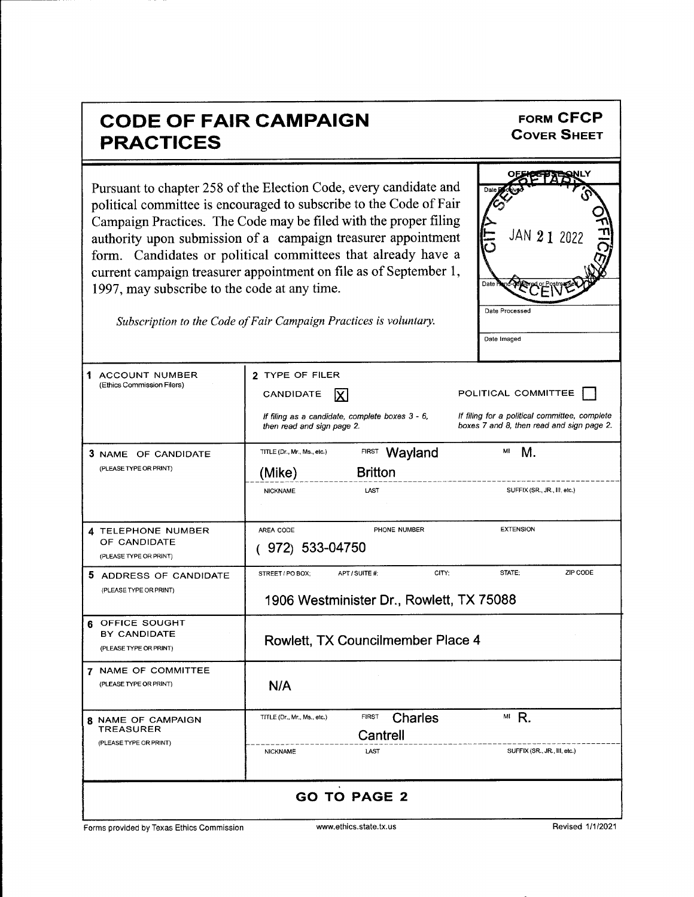| <b>CODE OF FAIR CAMPAIGN</b><br><b>PRACTICES</b>                 |                                                                                                                                                                                                                                                                                                                                                                                                                                                                                        | <b>FORM CFCP</b><br><b>COVER SHEET</b>                                                                            |
|------------------------------------------------------------------|----------------------------------------------------------------------------------------------------------------------------------------------------------------------------------------------------------------------------------------------------------------------------------------------------------------------------------------------------------------------------------------------------------------------------------------------------------------------------------------|-------------------------------------------------------------------------------------------------------------------|
| 1997, may subscribe to the code at any time.                     | Pursuant to chapter 258 of the Election Code, every candidate and<br>political committee is encouraged to subscribe to the Code of Fair<br>Campaign Practices. The Code may be filed with the proper filing<br>authority upon submission of a campaign treasurer appointment<br>form. Candidates or political committees that already have a<br>current campaign treasurer appointment on file as of September 1,<br>Subscription to the Code of Fair Campaign Practices is voluntary. | JAN 2 1 2022<br>Date Ì<br>Date Processed<br>Date Imaged                                                           |
| 1.<br>ACCOUNT NUMBER<br>(Ethics Commission Filers)               | 2 TYPE OF FILER<br>CANDIDATE<br>If filing as a candidate, complete boxes 3 - 6,<br>then read and sign page 2.                                                                                                                                                                                                                                                                                                                                                                          | POLITICAL COMMITTEE<br>If filing for a political committee, complete<br>boxes 7 and 8, then read and sign page 2. |
| 3 NAME OF CANDIDATE<br>(PLEASE TYPE OR PRINT)                    | Wayland<br><b>FIRST</b><br>TITLE (Dr., Mr., Ms., etc.)<br><b>Britton</b><br>(Mike)<br><b>NICKNAME</b><br>LAST                                                                                                                                                                                                                                                                                                                                                                          | MI<br>М.<br>SUFFIX (SR., JR., III, etc.)                                                                          |
| 4 TELEPHONE NUMBER<br>OF CANDIDATE<br>(PLEASE TYPE OR PRINT)     | AREA CODE<br>PHONE NUMBER<br>(972) 533-04750                                                                                                                                                                                                                                                                                                                                                                                                                                           | <b>EXTENSION</b>                                                                                                  |
| 5 ADDRESS OF CANDIDATE<br>(PLEASE TYPE OR PRINT)                 | APT / SUITE #:<br>CITY;<br>STREET / PO BOX:<br>1906 Westminister Dr., Rowlett, TX 75088                                                                                                                                                                                                                                                                                                                                                                                                | ZIP CODE<br>STATE:                                                                                                |
| OFFICE SOUGHT<br>6<br>BY CANDIDATE<br>(PLEASE TYPE OR PRINT)     | Rowlett, TX Councilmember Place 4                                                                                                                                                                                                                                                                                                                                                                                                                                                      |                                                                                                                   |
| 7 NAME OF COMMITTEE<br>(PLEASE TYPE OR PRINT)                    | N/A                                                                                                                                                                                                                                                                                                                                                                                                                                                                                    |                                                                                                                   |
| <b>8 NAME OF CAMPAIGN</b><br>TREASURER<br>(PLEASE TYPE OR PRINT) | <b>Charles</b><br><b>FIRST</b><br>TITLE (Dr., Mr., Ms., etc.)<br>Cantrell<br><b>NICKNAME</b><br>LAST                                                                                                                                                                                                                                                                                                                                                                                   | $M$ R.<br>SUFFIX (SR., JR, III, etc.)                                                                             |
|                                                                  | <b>GO TO PAGE 2</b>                                                                                                                                                                                                                                                                                                                                                                                                                                                                    |                                                                                                                   |

Forms provided by Texas Ethics Commission www.ethics.state.tx.us Revised 1/1/2021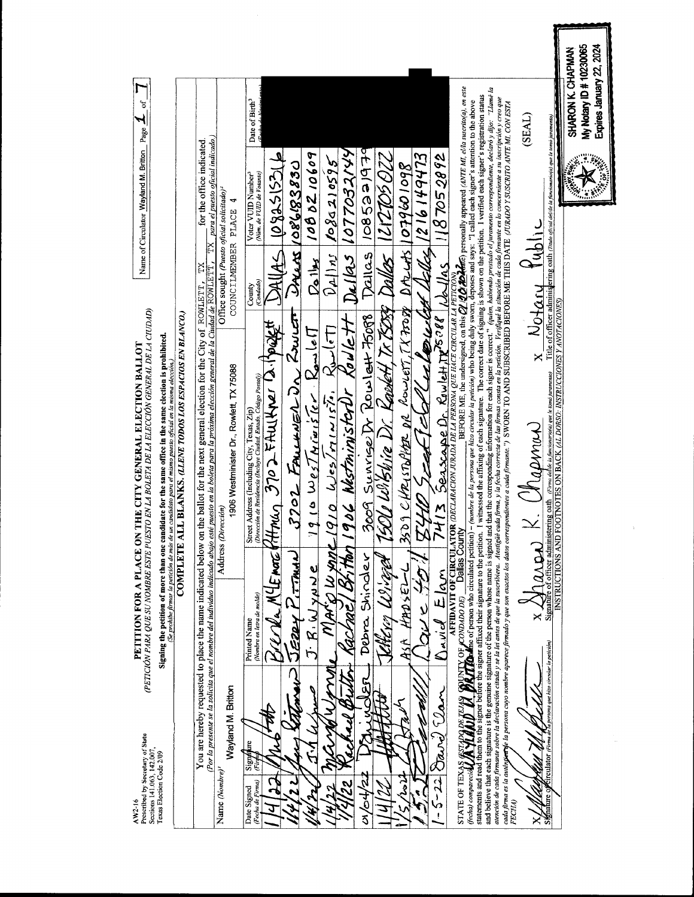|                                                                                                                                                                                                                                                                                                                                                       |                                                        |                                                                                                                                                                                                                                               |                                                                                 | Date of Birth <sup>3</sup>                                                                                                                              |                    |                        |                                    |                                  |                                              |                                                   |                                                            |                                                    |                                         |                                                                  |                                                                                                                                                                                                                                                                                               |                                                                                                                                                                                                                                                                                                                                                                                                                                                                                                                                                                                                                  |                                                                                                                                                                                                          | (TV3S.                             |                                                                                                                                                                       | Expires January 22, 2024<br>My Notary ID # 10230065<br>SHARON K. CHAPMAN |
|-------------------------------------------------------------------------------------------------------------------------------------------------------------------------------------------------------------------------------------------------------------------------------------------------------------------------------------------------------|--------------------------------------------------------|-----------------------------------------------------------------------------------------------------------------------------------------------------------------------------------------------------------------------------------------------|---------------------------------------------------------------------------------|---------------------------------------------------------------------------------------------------------------------------------------------------------|--------------------|------------------------|------------------------------------|----------------------------------|----------------------------------------------|---------------------------------------------------|------------------------------------------------------------|----------------------------------------------------|-----------------------------------------|------------------------------------------------------------------|-----------------------------------------------------------------------------------------------------------------------------------------------------------------------------------------------------------------------------------------------------------------------------------------------|------------------------------------------------------------------------------------------------------------------------------------------------------------------------------------------------------------------------------------------------------------------------------------------------------------------------------------------------------------------------------------------------------------------------------------------------------------------------------------------------------------------------------------------------------------------------------------------------------------------|----------------------------------------------------------------------------------------------------------------------------------------------------------------------------------------------------------|------------------------------------|-----------------------------------------------------------------------------------------------------------------------------------------------------------------------|--------------------------------------------------------------------------|
| Name of Circulator Wayland M. Britton Page $\underline{\mathcal{A}}_{\text{of}}$ of $\underline{\mathcal{A}}$                                                                                                                                                                                                                                         |                                                        | $TX$ para el puesto oficial indicado.)<br>for the office indicated                                                                                                                                                                            |                                                                                 | Voter VUID Number <sup>3</sup><br>(Num. de VUID de Votante)                                                                                             | $41551580$ $-4182$ | Units 1086183830       | 1000210609                         | $D_{\rho_1}$ / $n_J$ /0802/0595  | 906 NestministerDr Rowlett Dellas 1077032144 | 2009 Sunrige Dr Rowlett 76088   Dallas 1085221979 | <u> 500 Wiktvie Dr. Ravert Tr. TSTA Daller   12105 022</u> |                                                    | y 10 South Clock what Addis 1216 149473 | 187052892                                                        | AFFIDAVIT OF CIRCULATOR <i>(DECLARACON JURADA DE LA PERSONA QUE HACE CIRCULAR LA PETICIÓN)</i><br>MDADO DEJ D <b>EIRES COUTY</b><br>DE COUTY<br>- (nombre de la persona que hizo circular la petición) who being duly sworn, deposes and says: "I called each signer's attention to the above | and believe that each signature is the genuine signature of the person whose name is signed and that the corresponding information for each signer is correct." (quien, habiendo prestado el juramento correspondiente, decla<br>I witnessed the affixing of each signature. The correct date of signing is shown on the petition. I verified each signer's registration status<br>atención de cada firmante sobre la declaración citada y se la lei tante de de as seriestiva. Atento de la súa firma consta en la petición. Verifique la situación de cada firmante en lo concerniente a su inccripción y creo | coda firma es la autônya de prova cuyo nombre equerce firmado y que son exactos los datos expedientes e coda firmante.") SWORN TO AND SUBSCRIBED BEFORE ME THIS DATE (URADO Y SUSCRITO ANTE MI. CON ESTA |                                    | Title of officer administering oath (Thato oficial delide in funcionario(a) que le tomo juramento)                                                                    |                                                                          |
|                                                                                                                                                                                                                                                                                                                                                       |                                                        |                                                                                                                                                                                                                                               | Office sought (Puesto oficial solicitado) <sup>2</sup><br>COUNCILMEMBER PLACE 4 | (Condado)<br>County                                                                                                                                     |                    |                        | <b>Pallys</b>                      |                                  |                                              |                                                   |                                                            | 09 CHRITOPHER DR COUVETT, TX7028 DACCHS 1079601098 |                                         |                                                                  |                                                                                                                                                                                                                                                                                               |                                                                                                                                                                                                                                                                                                                                                                                                                                                                                                                                                                                                                  |                                                                                                                                                                                                          | $x - \frac{N_0 + \alpha_1 y}{N_0}$ |                                                                                                                                                                       |                                                                          |
|                                                                                                                                                                                                                                                                                                                                                       |                                                        |                                                                                                                                                                                                                                               |                                                                                 |                                                                                                                                                         |                    |                        |                                    |                                  |                                              |                                                   |                                                            |                                                    |                                         |                                                                  |                                                                                                                                                                                                                                                                                               |                                                                                                                                                                                                                                                                                                                                                                                                                                                                                                                                                                                                                  |                                                                                                                                                                                                          |                                    |                                                                                                                                                                       |                                                                          |
| (PETICIÓN PARA QUE SU NOMBRE ESTE PUESTO EN LA BOLETA DE LA ELECCIÓN GENERAL DE LA CIUDAD)<br>Signing the petition of more than one candidate for the same office in the same election is prohibited.<br>THE CITY GENERAL ELECTION BALLOT<br>Se prohibe firmar la petición de más de un candidato para el mismo puesto oficial en la misma elección.) | <b>L BLANKS. (LLENE TODOS LOS ESPACIOS EN BLANCO.)</b> | <u>(Por la presente se la solicita que el mombre del individuo indicado abajo esté puesto en la boleta para la próxima elección general de la Ciudad de ROWLETT, </u><br>the ballot for the next general election for the City of ROWLETT, TX | 1906 Westminister Dr., Rowlett, TX 75088                                        | Street Address (Including City, Texas, Zip)<br><i>Dirección de Residencia (Incline Ciadad, Estado, Código Pensal)</i><br>HIMUA 370 DE RUU KWEI DA (PORK |                    | 3702 FALLINGNON ROWLET | $210 \log$ $7$ Hivis $7$ e Roulell | $910$ Wes/ $m(x[i, k\omega(c)])$ |                                              |                                                   |                                                            |                                                    |                                         | $7413$ Seascape Dr. Rowlett $R^{508}$ $ l\rangle$ $ l_{\rm AS} $ |                                                                                                                                                                                                                                                                                               |                                                                                                                                                                                                                                                                                                                                                                                                                                                                                                                                                                                                                  |                                                                                                                                                                                                          |                                    | INSTRUCTIONS AND FOOTNOTES ON BACK (AL DORSO: INSTRUCCIONES Y ANOTACIONES)<br>Te of officer administering oath [Firma dellae la funcionario(a) que te tamó juramento) |                                                                          |
|                                                                                                                                                                                                                                                                                                                                                       |                                                        |                                                                                                                                                                                                                                               |                                                                                 |                                                                                                                                                         |                    |                        |                                    |                                  |                                              |                                                   |                                                            |                                                    |                                         |                                                                  |                                                                                                                                                                                                                                                                                               |                                                                                                                                                                                                                                                                                                                                                                                                                                                                                                                                                                                                                  |                                                                                                                                                                                                          | $k.$ ( $\mu$ asmur)                |                                                                                                                                                                       |                                                                          |
|                                                                                                                                                                                                                                                                                                                                                       | <b>COMPLETE AI</b>                                     |                                                                                                                                                                                                                                               | Address (Dirección)                                                             |                                                                                                                                                         |                    |                        |                                    |                                  |                                              |                                                   |                                                            |                                                    |                                         |                                                                  |                                                                                                                                                                                                                                                                                               |                                                                                                                                                                                                                                                                                                                                                                                                                                                                                                                                                                                                                  |                                                                                                                                                                                                          |                                    |                                                                                                                                                                       |                                                                          |
| PETITION FOR A PLACE ON                                                                                                                                                                                                                                                                                                                               |                                                        | You are hereby requested to place the name indicated below on                                                                                                                                                                                 |                                                                                 | Nombre en letra de molde<br><b>Printed Name</b>                                                                                                         |                    | <b>CELLANTIC</b>       | لى بى<br>م                         | i<br>A                           |                                              | Debra Shinaler                                    | E)                                                         | はっけれ                                               |                                         | $\frac{1}{4}$                                                    | <b>RITION</b> for of person who circulated petition)<br>NTY OF CONDADO DE                                                                                                                                                                                                                     |                                                                                                                                                                                                                                                                                                                                                                                                                                                                                                                                                                                                                  |                                                                                                                                                                                                          | ×                                  | Signat                                                                                                                                                                |                                                                          |
|                                                                                                                                                                                                                                                                                                                                                       |                                                        |                                                                                                                                                                                                                                               |                                                                                 |                                                                                                                                                         |                    |                        |                                    |                                  |                                              |                                                   |                                                            |                                                    |                                         | Pyryid                                                           |                                                                                                                                                                                                                                                                                               |                                                                                                                                                                                                                                                                                                                                                                                                                                                                                                                                                                                                                  |                                                                                                                                                                                                          |                                    | persona que hizo circular la petición)                                                                                                                                |                                                                          |
|                                                                                                                                                                                                                                                                                                                                                       |                                                        |                                                                                                                                                                                                                                               | Wayland M. Britton                                                              | Signature<br>Fired                                                                                                                                      |                    |                        |                                    |                                  |                                              |                                                   |                                                            |                                                    |                                         | Dan<br>Jarri                                                     |                                                                                                                                                                                                                                                                                               | statements and read them to the signer before the signer affixed their signature to the petition.                                                                                                                                                                                                                                                                                                                                                                                                                                                                                                                |                                                                                                                                                                                                          |                                    |                                                                                                                                                                       |                                                                          |
| Prescribed by Secretary of State<br>Sections 141.063, 142.007,<br>Texas Election Code 2/09<br>AW2-16                                                                                                                                                                                                                                                  |                                                        |                                                                                                                                                                                                                                               | Name (Nombre)                                                                   | Firma)<br>Date Signed<br>na de                                                                                                                          |                    |                        |                                    |                                  |                                              | ง<br>0<br>ನ                                       |                                                            | نزما                                               |                                         |                                                                  | STATE OF TEXA<br>(fecha) compareció                                                                                                                                                                                                                                                           |                                                                                                                                                                                                                                                                                                                                                                                                                                                                                                                                                                                                                  | <b>FECHA</b>                                                                                                                                                                                             | ×                                  | Signature of Circulator (Firma de                                                                                                                                     |                                                                          |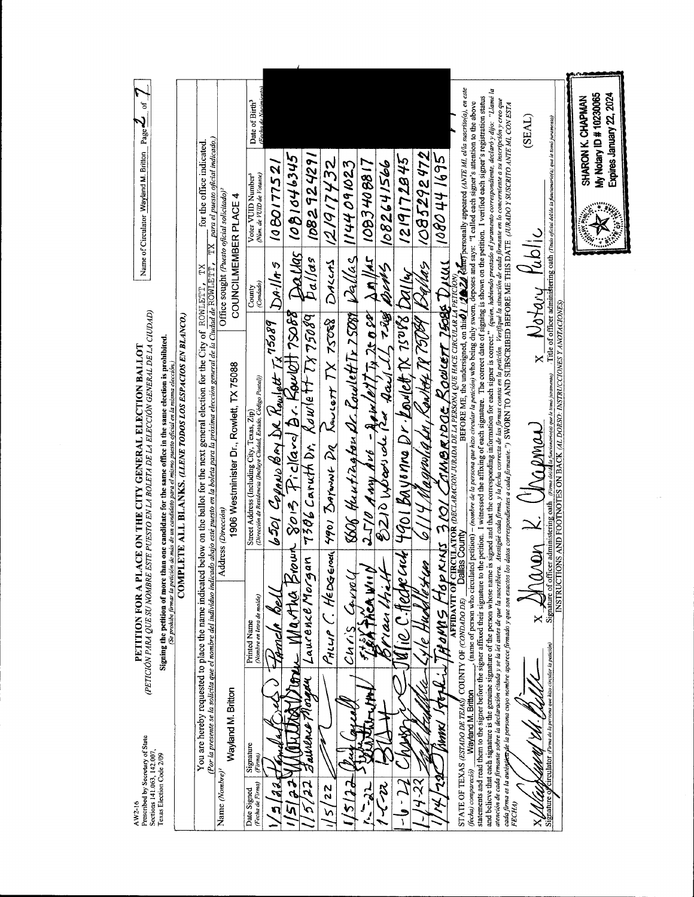| PETITION FOR A<br>Prescribed by Secretary of State<br>Sections 141.063, 142.007,<br>Texas Election Code 2/09<br>$AW2-16$                                                                                                                                                                                                                                                                                                                                                                                                                                                                                                                                                                | (PETICIÓN PARA QUE SU NOMBRE ESTE PUESTO EN LA BOLETA DE LA ELECCIÓN GENERAL DE LA CIUDAD)<br>Signing the petition of more than one candidate for the same office in the same election is prohibited.<br>PLACE ON THE CITY GENERAL ELECTION BALLOT<br>(Se prohibe firmar la petición de más de un candidato para el mismo puesto oficial en la misma elección.)         |                                                                                 | Name of Circulator Wayland M. Britton Page $\mathcal{L}$ of $\mathcal{L}$                                                                                                                     |  |
|-----------------------------------------------------------------------------------------------------------------------------------------------------------------------------------------------------------------------------------------------------------------------------------------------------------------------------------------------------------------------------------------------------------------------------------------------------------------------------------------------------------------------------------------------------------------------------------------------------------------------------------------------------------------------------------------|-------------------------------------------------------------------------------------------------------------------------------------------------------------------------------------------------------------------------------------------------------------------------------------------------------------------------------------------------------------------------|---------------------------------------------------------------------------------|-----------------------------------------------------------------------------------------------------------------------------------------------------------------------------------------------|--|
|                                                                                                                                                                                                                                                                                                                                                                                                                                                                                                                                                                                                                                                                                         | COMPLETE ALL BLANKS. (LLENE TODOS LOS ESPACIOS EN BLANCO.)                                                                                                                                                                                                                                                                                                              |                                                                                 |                                                                                                                                                                                               |  |
|                                                                                                                                                                                                                                                                                                                                                                                                                                                                                                                                                                                                                                                                                         | <u>Por la presente se la solicita que el nombre del individuo indicado abajo esté puesto en la boleta para la próxima elección general de la Ciudad de ROWLETT, relativa en la ciudad de ROWLETT, relativa en la ciudad de ROWLE</u><br>You are hereby requested to place the name indicated below on the ballot for the next general election for the City of ROWLETT, | ΣŁ                                                                              | $\overline{\text{TX}}$ para el puesto oficial indicado.)<br>for the office indicated                                                                                                          |  |
| Wayland M. Britton<br>Name (Nombre) <sup>1</sup>                                                                                                                                                                                                                                                                                                                                                                                                                                                                                                                                                                                                                                        | 1906 Westminister Dr., Rowlett, TX 75088<br>Address (Dirección)                                                                                                                                                                                                                                                                                                         | Office sought (Puesto oficial solicitado) <sup>2</sup><br>COUNCILMEMBER PLACE 4 |                                                                                                                                                                                               |  |
| (Nombre en letra de molde)<br><b>Printed Name</b><br>Signature<br>(Firma)<br>(Fecha de Firma)<br>Date Signed                                                                                                                                                                                                                                                                                                                                                                                                                                                                                                                                                                            | Street Address (Including City, Texas, Zip)<br>(Dirección de Residencia (Incluye Ciudad, Estado, Código Posaal))                                                                                                                                                                                                                                                        | (Condado)<br>County                                                             | (Fecha de Nacimiento)<br>Date of Birth <sup>3</sup><br>Voter VUID Number <sup>3</sup><br>(Núm. de VUD de Votante)                                                                             |  |
| Moun<br>d d.                                                                                                                                                                                                                                                                                                                                                                                                                                                                                                                                                                                                                                                                            | 6501 Copper Bay DR Rowlest Tx 75089 DAllAS                                                                                                                                                                                                                                                                                                                              |                                                                                 | 1080177521                                                                                                                                                                                    |  |
| martha                                                                                                                                                                                                                                                                                                                                                                                                                                                                                                                                                                                                                                                                                  | $\frac{1}{2}$ leum $\frac{8}{2}$ 13.15 Fickard Br. Rowlott 75088 Dallas 1081046345<br>19an 7306 Caruth Dr. Rowlett 7775089 Dallas 10829242911                                                                                                                                                                                                                           |                                                                                 |                                                                                                                                                                                               |  |
| Laurence Morgan<br>ie,<br>aurence<br>52                                                                                                                                                                                                                                                                                                                                                                                                                                                                                                                                                                                                                                                 |                                                                                                                                                                                                                                                                                                                                                                         |                                                                                 |                                                                                                                                                                                               |  |
| 22<br>n                                                                                                                                                                                                                                                                                                                                                                                                                                                                                                                                                                                                                                                                                 | Pillip C. HeDGEMail 4901 BAYWAL DR ROUGH TX 75088   DALLAS 12/917432                                                                                                                                                                                                                                                                                                    |                                                                                 |                                                                                                                                                                                               |  |
| CAVIO<br>cnnS                                                                                                                                                                                                                                                                                                                                                                                                                                                                                                                                                                                                                                                                           | 8506 theutiagton Dr. Coulett Tr. 75089 Dellas 1144091023                                                                                                                                                                                                                                                                                                                |                                                                                 |                                                                                                                                                                                               |  |
| ACA WILD                                                                                                                                                                                                                                                                                                                                                                                                                                                                                                                                                                                                                                                                                |                                                                                                                                                                                                                                                                                                                                                                         |                                                                                 |                                                                                                                                                                                               |  |
| i an                                                                                                                                                                                                                                                                                                                                                                                                                                                                                                                                                                                                                                                                                    | $\frac{2510}{8210}$ Any $\frac{1}{2}$ ve - Apix/01/7, 2008 An/10 1083408817                                                                                                                                                                                                                                                                                             |                                                                                 |                                                                                                                                                                                               |  |
| 10 AK                                                                                                                                                                                                                                                                                                                                                                                                                                                                                                                                                                                                                                                                                   | cach 4901 Bayonne Dr. Loulet TX 15088 Dalley                                                                                                                                                                                                                                                                                                                            |                                                                                 | 1219172845                                                                                                                                                                                    |  |
|                                                                                                                                                                                                                                                                                                                                                                                                                                                                                                                                                                                                                                                                                         | <u>Vestun   6114 Magyolia fu, Raikóz TV 76089   Rajlas   1085292472</u>                                                                                                                                                                                                                                                                                                 |                                                                                 |                                                                                                                                                                                               |  |
| $\tilde{\rho}$<br>そのその<br><b>ANNK</b><br><b>مار</b><br>مار                                                                                                                                                                                                                                                                                                                                                                                                                                                                                                                                                                                                                              | PRINT 3101 CAMBRIDGE ROWLETT 75085 DILLIL 1080 44 1695                                                                                                                                                                                                                                                                                                                  |                                                                                 |                                                                                                                                                                                               |  |
| (bcha) compareció) <b>___ Wayland M. Britton</b> _____ (name of person who circulated petion) - (nombre de la persona que hizo circular la petición) who being duly sworn, deposes and says: "I canse acan signer's ancmion to the<br><b>AFFIDAVIT OF</b><br>COUNTY OF (CONDADO DE)<br>Wayland M. Britton<br>STATE OF TEXAS (ESTADO DE TEJAS)                                                                                                                                                                                                                                                                                                                                           | <b>CIRCULATOR (DECLARACION JURADA DE LA PERSONA QUE HACE CIRCULAR LA PETICION)</b><br><b>Jallas County</b>                                                                                                                                                                                                                                                              |                                                                                 | BEFORE ME, the undersigned, on this $\frac{d}{d}$ $\frac{d}{d}$ $\frac{d}{d}$ $\frac{d}{d}$ $\frac{d}{d}$ $\frac{d}{d}$ $\frac{d}{d}$ personally appeared (ANTE MI, ella suscrito(a), en este |  |
| and believe that each signature is the genuine signature of the person whose name is signed and that the corresponding information for each signer is conrect." (quien, habiendo prestado el juramento correspondiente, declar<br>atención de cada firmante sobre la declaración citada y se la tiel tala atente de la suscribiera. A seximante de que la sexima a la sexión de figue la sinación de cada firmante en lo concerniente a su inccripción y creo qu<br>cada firma es la auti <mark>spieca</mark> de la persona cuyo nombre aportes aportes promoves on esta conseguentes a cada firmante.") SWORN TO AND SUBSCRIBED BEFORE ME THIS DATE (URADO 1 SUSCRITO ANTE ML CON ESTA |                                                                                                                                                                                                                                                                                                                                                                         |                                                                                 |                                                                                                                                                                                               |  |
| ×<br>FECHA)                                                                                                                                                                                                                                                                                                                                                                                                                                                                                                                                                                                                                                                                             | aren K. (Trapmen                                                                                                                                                                                                                                                                                                                                                        | $x - b$ otary Public                                                            | (SEAL)                                                                                                                                                                                        |  |
| Circulator (Firma de la persona que hizo circular la petición,<br>Signature o                                                                                                                                                                                                                                                                                                                                                                                                                                                                                                                                                                                                           | Signature of officer administering oath <i>[Firms delekta functionario(a) que le tema jurumena)</i> . Title of officer admi<br>INSTRUCTIONS AND FOO <u>TNOTES ON BACK <i>(AL DORSO: INSTRUCCIONES Y ANOTACIONES</i>)</u>                                                                                                                                                |                                                                                 | Title of officer administering oath (Timio oficial delide ia funcionario(a) que le tomo juvamento)                                                                                            |  |
|                                                                                                                                                                                                                                                                                                                                                                                                                                                                                                                                                                                                                                                                                         |                                                                                                                                                                                                                                                                                                                                                                         |                                                                                 | Expires January 22, 2024<br>My Notary ID # 10230065<br>SHARON K. CHAPMAN                                                                                                                      |  |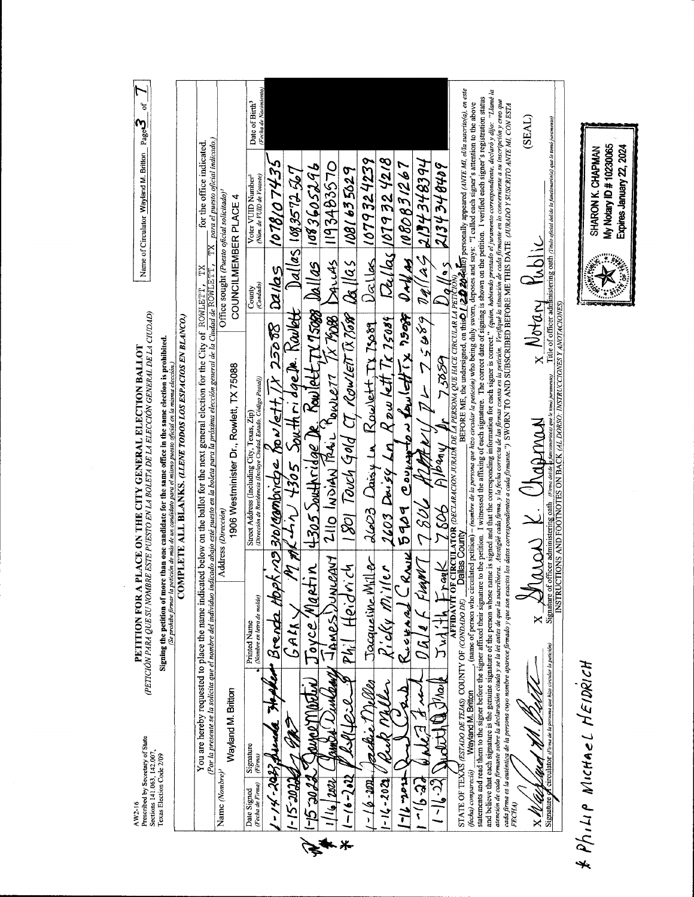$AW2-16$ <br>Prescribed by Secretary of State<br>Sections 141.063, 142.007,<br>Texas Election Code 2/09

PETITION FOR A PLACE ON THE CITY GENERAL ELECTION BALLOT<br>(PETICIÓN PARA QUE SU NOMBRE ESTE PUESTO EN LA BOLETA DE LA ELECCIÓN GENERAL DE LA CUDAD)

 $\frac{1}{2}$ 

Name of Circulator Wayland M. Britton  $Page \overline{3}$ 

Signing the petition of more than one candidate for the same office in the same election is prohibited.<br> $\frac{(Sc \text{ problem of more decision } d \text{ noise})}{(Sc \text{ problem of the main dataset})}$ 

|                                                                                                                                                                                                                                                                                                                                                                                                                                                                  |                    | You are hereby requested to place the name indicated below on the ballot for the next general election for the City of $ROWLETT$ ,<br>(Por la presente se la solicita que el nombre del individuo |                    |                                                                                                                                                                                            |  | TХ                    | indicado abajo esté puesto en la boleta para la próxima elección general de la Ciudad de ROWLETT , TX para el puesto oficial indicado.)<br>for the office indicated                                                                                                                                                                                                                              |                                                     |
|------------------------------------------------------------------------------------------------------------------------------------------------------------------------------------------------------------------------------------------------------------------------------------------------------------------------------------------------------------------------------------------------------------------------------------------------------------------|--------------------|---------------------------------------------------------------------------------------------------------------------------------------------------------------------------------------------------|--------------------|--------------------------------------------------------------------------------------------------------------------------------------------------------------------------------------------|--|-----------------------|--------------------------------------------------------------------------------------------------------------------------------------------------------------------------------------------------------------------------------------------------------------------------------------------------------------------------------------------------------------------------------------------------|-----------------------------------------------------|
| Name (Nombre)                                                                                                                                                                                                                                                                                                                                                                                                                                                    | Wayland M. Britton |                                                                                                                                                                                                   | Address (Dirección | 1906 Westminister Dr., Rowlett, TX 75088                                                                                                                                                   |  | COUNCILMEMBER PLACE 4 | Office sought (Puesto oficial solicitado) <sup>2</sup>                                                                                                                                                                                                                                                                                                                                           |                                                     |
| Signature<br>(Firma)<br>(Fecha de Firma)<br>Date Signed                                                                                                                                                                                                                                                                                                                                                                                                          |                    | (Nombre en letra de molde)<br>Printed Name                                                                                                                                                        |                    | (Dirección de Residencia (Incluye Ciudad, Estado, Código Postal))<br>Street Address (Including City, Texas, Zip                                                                            |  | (Condado)<br>Count    | (Num. de VUID de Votante)<br>Voter VUID Number <sup>3</sup>                                                                                                                                                                                                                                                                                                                                      | (Fecha de Nacimiento)<br>Date of Birth <sup>3</sup> |
| $1 - 14 - 2432$ fromba                                                                                                                                                                                                                                                                                                                                                                                                                                           |                    | let Brenda toph no 310/combridge for let t, $\overline{N}$ 25008 $ $ Davids                                                                                                                       |                    |                                                                                                                                                                                            |  |                       | 1078107435                                                                                                                                                                                                                                                                                                                                                                                       |                                                     |
| S-15-2022                                                                                                                                                                                                                                                                                                                                                                                                                                                        |                    | GALK.                                                                                                                                                                                             |                    |                                                                                                                                                                                            |  |                       | MM- 1964 V 4305 South ridge De. Kaulett Dallas 108357254                                                                                                                                                                                                                                                                                                                                         |                                                     |
| <b>72705-91</b>                                                                                                                                                                                                                                                                                                                                                                                                                                                  |                    | E<br>ovce.                                                                                                                                                                                        |                    |                                                                                                                                                                                            |  |                       |                                                                                                                                                                                                                                                                                                                                                                                                  |                                                     |
| 12022                                                                                                                                                                                                                                                                                                                                                                                                                                                            |                    | ミ<br><b>NAMAT</b>                                                                                                                                                                                 |                    |                                                                                                                                                                                            |  |                       | Rtin 4305 Southridge De Rowlett TX 75000 Dallas 1083605296<br>NICANY 2110 INDIAN PALL POWLET TX 7600 DAILAS 1193483570                                                                                                                                                                                                                                                                           |                                                     |
| $-16 - 282$                                                                                                                                                                                                                                                                                                                                                                                                                                                      |                    | <b>Heid</b><br>Ph, I                                                                                                                                                                              | とぐ                 |                                                                                                                                                                                            |  |                       | $-18$ OI Touch Gold CT, Rowlett TX 7,689 $\beta$ 8   as   1081 63 5029                                                                                                                                                                                                                                                                                                                           |                                                     |
| UT-9                                                                                                                                                                                                                                                                                                                                                                                                                                                             |                    | Tacqueline                                                                                                                                                                                        |                    |                                                                                                                                                                                            |  |                       | $Miller$ 2603 Daisy in Rowlett, TX 75089 Daillers 1079324239                                                                                                                                                                                                                                                                                                                                     |                                                     |
| $-16 - 202$                                                                                                                                                                                                                                                                                                                                                                                                                                                      |                    |                                                                                                                                                                                                   |                    |                                                                                                                                                                                            |  |                       | $Ricky$ Miller 2603 Daisy Ln, Rpw lett, Tx 15089 $Ra/h_3$ 1079 324218                                                                                                                                                                                                                                                                                                                            |                                                     |
| سلاحرہ را ا                                                                                                                                                                                                                                                                                                                                                                                                                                                      |                    | Ruckard                                                                                                                                                                                           |                    |                                                                                                                                                                                            |  |                       | Idays 5909 coupon fact is 1508 doll as 1080831267                                                                                                                                                                                                                                                                                                                                                |                                                     |
| لون.<br>م<br>$\tilde{I}$                                                                                                                                                                                                                                                                                                                                                                                                                                         |                    | $\lambda$<br>.<br>ا                                                                                                                                                                               |                    |                                                                                                                                                                                            |  |                       | $H_{\text{H}}^{\text{max}} = \frac{1}{2} \frac{1}{2} \frac{1}{2} \frac{1}{2} \frac{1}{2} \frac{1}{2} \frac{1}{2} \frac{1}{2} \frac{1}{2} \frac{1}{2} \frac{1}{2} \frac{1}{2} \frac{1}{2} \frac{1}{2} \frac{1}{2} \frac{1}{2} \frac{1}{2} \frac{1}{2} \frac{1}{2} \frac{1}{2} \frac{1}{2} \frac{1}{2} \frac{1}{2} \frac{1}{2} \frac{1}{2} \frac{1}{2} \frac{1}{2} \frac{1}{2} \frac{1}{2} \frac{$ |                                                     |
|                                                                                                                                                                                                                                                                                                                                                                                                                                                                  | Ma <sub>l</sub>    | コマゴーム                                                                                                                                                                                             |                    | $\frac{C_{\text{right}}}{\frac{C_{\text{right}}}{\frac{C_{\text{right}}}{\frac{C_{\text{right}}}{\sqrt{C_{\text{right}}}}}} \frac{1}{\frac{1}{\sqrt{C_{\text{right}}}}}\sqrt{\frac{1}{2}}$ |  |                       | $U_{\alpha}$ // $s$ 2134348409                                                                                                                                                                                                                                                                                                                                                                   |                                                     |
| STATE OF TEXAS (ESTADO DE TEJAS) COUNTY OF (CONDADO DE)                                                                                                                                                                                                                                                                                                                                                                                                          |                    | FFIDAVI                                                                                                                                                                                           | Dallas Count       |                                                                                                                                                                                            |  |                       | BEFORE ME, the undersigned, on this $O(220$ delate) personally appeared (ANTE MI, ella suscrito(a), en este                                                                                                                                                                                                                                                                                      |                                                     |
| statements and read them to the signer estimal their signature to the petition. I winessed the affixing of each signature. The correct date of signing is shown on the petition. I verified each signer's registration status<br>(fecha) compareció)                                                                                                                                                                                                             | Wayland M. Britton |                                                                                                                                                                                                   |                    |                                                                                                                                                                                            |  |                       | (name of person who circulated petition) – (nombre de la persona que hizo circular la petición) who being duly sworn, deposes and says: "I called each signer's attention to the above                                                                                                                                                                                                           |                                                     |
| and believe that each signature is the genuine signature of the person whose name is signed and that the corresponding information for each signer is conrect." (quien, habiendo prestado el juramento correspondiente, declar<br>atención de cada firmante sobre la declaración cituda y se la tiei tantes de de ascribiera. Atenticial firmas conserta de las firmas consea en la petición. Verifique la sinación de cada firmante en lo concerniente a su ins |                    |                                                                                                                                                                                                   |                    |                                                                                                                                                                                            |  |                       |                                                                                                                                                                                                                                                                                                                                                                                                  |                                                     |
| coda firma es la autómica de la persona cuyo nombre aparece spirado firmado y que se acada descubar en ada firmante.") SWORN TO AND SUBSCRIBED BEFORE ME THIS DATE (UVALDO Y SUSCRITO ANTE MI. CON ESTA<br>FECHA)                                                                                                                                                                                                                                                |                    |                                                                                                                                                                                                   |                    |                                                                                                                                                                                            |  |                       |                                                                                                                                                                                                                                                                                                                                                                                                  |                                                     |
|                                                                                                                                                                                                                                                                                                                                                                                                                                                                  |                    |                                                                                                                                                                                                   |                    | haras K. Chapman                                                                                                                                                                           |  | $x$ Notary Kuhlic     |                                                                                                                                                                                                                                                                                                                                                                                                  | (SEAL)                                              |
| Circulator (Firma de la persona que hizo circular la petición)<br>Signature <i>o</i>                                                                                                                                                                                                                                                                                                                                                                             |                    | <b>ESPI</b>                                                                                                                                                                                       |                    | Signature of officer administering oath (Firma delike is funcionario(a) que le tomó juramento)                                                                                             |  |                       | Title of officer adnimistering oath (Titulo oficial delide la funcionario(a) que le tomo juramento                                                                                                                                                                                                                                                                                               |                                                     |
|                                                                                                                                                                                                                                                                                                                                                                                                                                                                  |                    |                                                                                                                                                                                                   |                    | RUCTIONS AND FOOTNOTES ON BACK (AL DORSO: INSTRUCCIONES Y ANOTACIONES)                                                                                                                     |  |                       |                                                                                                                                                                                                                                                                                                                                                                                                  |                                                     |
|                                                                                                                                                                                                                                                                                                                                                                                                                                                                  |                    |                                                                                                                                                                                                   |                    |                                                                                                                                                                                            |  |                       |                                                                                                                                                                                                                                                                                                                                                                                                  |                                                     |

\* Philip MicHAel HEIDRICH

My Notary ID # 10230065 SHARON K. CHAPMAN

Expires January 22, 2024

**BARRASHEE**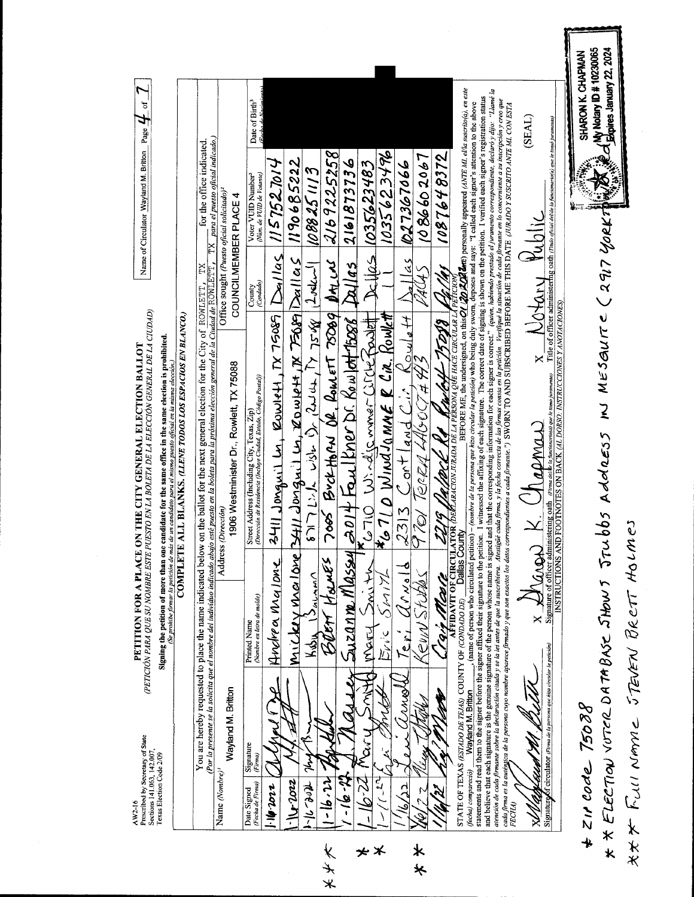My Notary ID # 10230065 OL Expires January 22, 2024 SHARON K. CHAPMAN Page  $H$  of  $\bigcap$ and believe that each signature is the genuine signature of the person whose name is signed and the corresponding information for each signer is correct." (quien, habiendo presisado el juramento correspondante, declaró y d BEFORE ME, the undersigned, on this  $Q$  (2012) detc) personally appeared (ANTE MI, ella suscrito(a), en este statements and read them to the signer before the signer affixed their interstion. I witnessed the affixing of each signature. The correct date of signing is shown on the petition. I verified each signer's registration sta atención de cada firmante sobre la declaración citada y se la lei de de as aceixias. Alejada consema consema en a conda firmante a la mascripción y creo que<br>cada firma es la autó<u>di</u>ca de la persona cuy nombre que se antes straine of person who circulated petition) - (nombre de la persona que hizo circular la petición) who being duly sworn, deposes and says: "I called each signer's attention to the above Date of Birth<sup>3</sup> (SEAL)  $\frac{1}{x}$   $\frac{1}{\frac{1}{x} \cdot \frac{1}{x} \cdot \frac{1}{x} \cdot \frac{1}{x} \cdot \frac{1}{x} \cdot \frac{1}{x} \cdot \frac{1}{x} \cdot \frac{1}{x} \cdot \frac{1}{x} \cdot \frac{1}{x} \cdot \frac{1}{x} \cdot \frac{1}{x} \cdot \frac{1}{x} \cdot \frac{1}{x} \cdot \frac{1}{x} \cdot \frac{1}{x} \cdot \frac{1}{x} \cdot \frac{1}{x} \cdot \frac{1}{x} \cdot \frac{1}{x} \cdot \frac{1}{x} \cdot \frac{1}{x} \cdot \frac{1}{x}$  $\frac{\text{TX}}{\text{Bara}}$  el puesto oficial indicado.) for the office indicated Name of Circulator Wayland M. Britton 2169225258 1035623496 1086602067 1087648372 1190685222  $2161873736$ 027367066 1035623483  $1157527014$ 1088251113 Voter VUID Number<sup>3</sup><br>(Num. de VUID de Votame) Office sought (Puesto oficial solicitado)<sup>2</sup> COUNCILMEMBER PLACE 4 \* \* ELECTION VOTER DATABASE JHOWS JTUbbs AddRESS IN MESONITE (2917 YORKI  $Rilas$  $3411$  Jongwit Ly, Rowlett,  $N$  75085  $\log_1 1/105$  $\frac{1}{45}$  $M_{11}$ Ung lang lang liting  $\frac{1}{2}$ ung liting  $\frac{1}{2}$ ulu  $\frac{1}{2}$  $\mathbf{D}_{\mathcal{H}_L}$   $\mathcal{M}_L$  $1$ udcu $|$ Dallas <u>4. 141</u> You are hereby requested to place the name indicated below on the ballot for the next general election for the City of ROWLETT, TX <u>Por la presente se la solicita que el nombre del individuo indicado abajo esté puesto en la boleta para la próxima elección general de la Cudad de ROWLETT.</u> AUAS County<br> **County**  $\frac{\mbox{Signative of offer 2 doministering 03th}}{\mbox{INSTRUCTONS AND FOUTENTES ON BACK} \emph{(AL DORS) NARYVCCIONES Y ANOTACCONES)} \mbox{In the other adm-} \label{eq:1}$ (PETICIÓN PARA QUE SU NOMBRE ESTE PUESTO EN LA BOLETA DE LA ELECCIÓN GENERAL DE LA CIUDAD) BOETT HOUNES 7005 BUCKHORN OR ROMETT 75009 <u>(Se prohibe firmar la petición de más de un candidato para el núsmo puesto oficial en la misma elección.)</u><br>COMPLETE ALL BLANKS, (LLENE TODOS LOS ESPACIOS EN BLANCO.)  $67171556$   $1323$   $1323$ air Marce 1219 Vallace Re Cubel 1500  $*_{\mathcal{L}}$ 710 WindJamnE R Cik. Rowlett  $R_{\text{oulet}}$  $201 + \frac{1}{2}$  Taulkner Dr. Rowlett 15088 Pro WindiamerCirchepold Signing the petition of more than one candidate for the same office in the same election is prohibited. PETITION FOR A PLACE ON THE CITY GENERAL ELECTION BALLOT  $\mathbf{x}$ 97er Terzy 41605443 1906 Westminister Dr., Rowlett, TX 75088 Street Address (Including City, Texas, Zip)<br>(Dirección de Residencia (Incluye Ciudad, Estado, Código Postal))  $2313$  Contland Cir  $x \nleq$  ( $\lambda$  anger) K. Chapman Address (Dirección) AX FULLI NAME STEVEN BRETT HOLMES Dallas County Suzanne Mlassy Andrea Malone  $\mathcal{U}_{\text{max}}$ Smith Seur Studes  $13a<sub>h</sub>$ はぶい 心でぶ Crair Marte Printed Name<br>(Nombre en letra de molde) STATE OF TEXAS (ESTADO DE TEJAS) COUNTY OF (CONDADO DE) Mary  $7e_{r}$ Kody Signature of circulator (Firma de la persona que hizo circular la petición) 专 Mann ALA. Wayland M. Britton Wayland M. Britton  $*$  zir code 75088 ں<br>گر Prescribed by Secretary of State Signature Sections 141.063, 142.007, Texas Election Code 2/09 ليهلو <u>(Appleisch</u> Name (Nombre)<sup>1</sup> (fecha) compareció)  $\mathbb{Z}^{2}$  $-16.41$  $\sqrt{1022}$  $-16.66 - 71$ tr - 91- $\frac{1}{2}$ 2200.91  $1/(\sim 1)$ Fecha de Firma)  $\frac{1}{2}$ Date Signed FECHA) **Ap**  $\lambda$  $\star$   $\star$ オチズ  $\bigstar\!\times\!$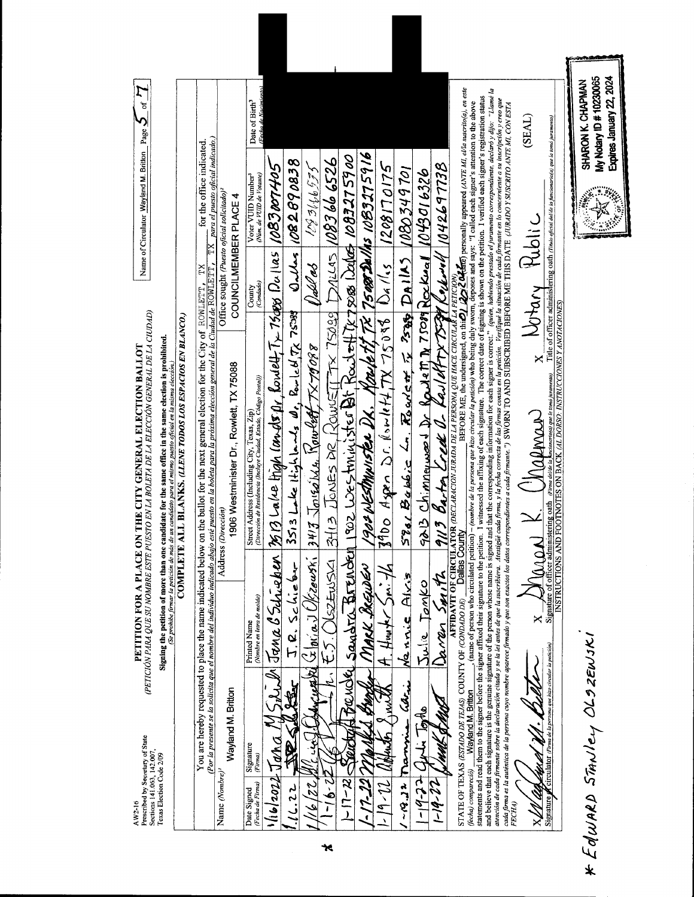|         | Prescribed by Secretary of State<br>Sections 141.063, 142.007,<br>AW2-16    |                                                                          | (PETICIÓN PARA QUE SU NOMBRE ESTE PUESTO EN LA BOLETA DE LA ELECCIÓN GENERAL DE LA CIUDAD)<br>PETITION FOR A PLACE ON THE CITY GENERAL ELECTION BALLOT                                                                                                                                                                                                                                                                                                                                                                                                       |                     | Name of Circulator Wayland M. Britton Page $\sum$ of $\bm{\mathcal{I}}$                                    |                                              |
|---------|-----------------------------------------------------------------------------|--------------------------------------------------------------------------|--------------------------------------------------------------------------------------------------------------------------------------------------------------------------------------------------------------------------------------------------------------------------------------------------------------------------------------------------------------------------------------------------------------------------------------------------------------------------------------------------------------------------------------------------------------|---------------------|------------------------------------------------------------------------------------------------------------|----------------------------------------------|
|         | Texas Election Code 2/09                                                    |                                                                          | Signing the petition of more than one candidate for the same office in the same election is probibited.<br>Signing the petition of more than one candidate for the same of mismo puesto oficial en la misma elección.)                                                                                                                                                                                                                                                                                                                                       |                     |                                                                                                            |                                              |
|         |                                                                             |                                                                          | COMPLETE ALL BLANKS, (LLENE TODOS LOS ESPACIOS EN BLANCO.)                                                                                                                                                                                                                                                                                                                                                                                                                                                                                                   |                     |                                                                                                            |                                              |
|         |                                                                             | You are hereby requested to place the name indicated                     | <u>(Por la presente se la solicita que el mombre del individuo indicado abajo esté puesto en la boleta para la próxima elección general de la Ciudad de ROWLETT, </u><br>below on the ballot for the next general election for the City of ROWLETT, TX                                                                                                                                                                                                                                                                                                       |                     | $\overline{\text{T}}\text{X}$ para el puesto oficial indicado.)<br>for the office indicated.               |                                              |
|         | Name (Nombre) <sup>1</sup>                                                  |                                                                          | Address (Dirección)                                                                                                                                                                                                                                                                                                                                                                                                                                                                                                                                          |                     | Office sought (Puesto oficial solicitado) <sup>2</sup>                                                     |                                              |
|         | Wayland M. Britton                                                          |                                                                          | 1906 Westminister Dr., Rowlett, TX 75088                                                                                                                                                                                                                                                                                                                                                                                                                                                                                                                     |                     | COUNCILMEMBER PLACE 4                                                                                      |                                              |
|         | Signature<br>(Firma)<br>(Fecha de Firma)<br>Date Signed                     | (Nombre en letra de molde)<br><b>Printed Name</b>                        | Street Address (Including City, Texas, Zip)<br>(Dirección de Residencia (Incluye Ciudad, Estado, Código Postal))                                                                                                                                                                                                                                                                                                                                                                                                                                             | County<br>(Condado) | Voter VUID Number <sup>3</sup><br>(Núm. de VUD de Votante)                                                 | Date of Birth <sup>3</sup>                   |
|         | $116/20227$ Jaha                                                            |                                                                          | $\ell$ l Jana B.Schieben 1969 Lalee High (mots flr. Rowell, Tx 75dps Dullas 1083107405                                                                                                                                                                                                                                                                                                                                                                                                                                                                       |                     |                                                                                                            |                                              |
|         | $\mathcal{L}_{\mathcal{S}}$<br>16.22                                        | $I.R.$ Schieber                                                          | $3513$ lake itigh lands $d_1$ , Rouled, $7_6$ 7538 Qubes 1082690838                                                                                                                                                                                                                                                                                                                                                                                                                                                                                          |                     |                                                                                                            |                                              |
|         | بنجا<br>22                                                                  |                                                                          | $\log 10$ in a Ulticentri 17413 Joseph Mowlett TX79088 Weblets                                                                                                                                                                                                                                                                                                                                                                                                                                                                                               |                     | 123166555                                                                                                  |                                              |
| $\star$ | $\sim 75$<br>Ē                                                              |                                                                          |                                                                                                                                                                                                                                                                                                                                                                                                                                                                                                                                                              |                     |                                                                                                            |                                              |
|         | $-17 - 22$                                                                  |                                                                          | the 100 state state of 13 Junes DR Rows TT-X 75039 DALLAS 1083666526                                                                                                                                                                                                                                                                                                                                                                                                                                                                                         |                     |                                                                                                            |                                              |
|         |                                                                             | Makk BlEwler<br><b>MARKA</b>                                             | 1904 WESTMUISTER DK. Krubett TX 75088 Dalhs 1083275916                                                                                                                                                                                                                                                                                                                                                                                                                                                                                                       |                     |                                                                                                            |                                              |
|         | $19 - 72$                                                                   | $\mathcal{L}$<br>$H_{\text{un}}$ the $\leq_{\text{m}}$<br>$\mathcal{M}$  | $3900$ Agen Dr. Kowlett, TX 75038 $0a/(s)$ 1208170175                                                                                                                                                                                                                                                                                                                                                                                                                                                                                                        |                     |                                                                                                            |                                              |
|         | manny<br>$-22 -$                                                            | Nannie Alvis                                                             | $5780$ Babbic L. Rowlet $\overline{K}$ $2589$ DAIIAS 100349701                                                                                                                                                                                                                                                                                                                                                                                                                                                                                               |                     |                                                                                                            |                                              |
|         | i londo<br>$-6.2 - 5$                                                       | Julie Jonko                                                              |                                                                                                                                                                                                                                                                                                                                                                                                                                                                                                                                                              |                     |                                                                                                            |                                              |
|         | MAK AMIRA<br>$1 - 19 - 22$                                                  | Derren Smith                                                             | 9013 Chimneweed Dr Rowlett N 75089 Rockwall 1043016326<br>9113 Barton Creek O. Kauldfry 7599 Rockwall 1042697738                                                                                                                                                                                                                                                                                                                                                                                                                                             |                     |                                                                                                            |                                              |
|         |                                                                             | Dallas County<br>STATE OF TEXAS (ESTADO DE TEJAS) COUNTY OF (CONDADO DE) | and believe that each signature is the genuine signature of the person whose name is signed and that the corresponding information for each signer is correct." (quien, habiendo presidate el pramento correspondiente, declar<br>atención de cada firmante sobre la declaración citada y se la lei talas de de de ascribiera. Atenia firma, para la las firmas consu en la petición. Verifique la situación de cada firmante en lo concerniente a su inscripció<br>AFFIDAVIT OF CIRCULATOR (DECLARACION JURADA DE LA PERSONA QUE HACE CIRCULAR LA PETICION) |                     | BEFORE ME, the undersigned, on thirty 1222 COM and personally appeared (ANTE MI, ella suscrito(a), en este |                                              |
|         | FECHA)                                                                      |                                                                          | coda firma os la autónica de la persona cuyo nombre aparece firmado y que son exacto los datas coneglorians coda firmante.") SWORN TO AND SUBSCRIBED BEFORE ME THIS DATE (URADO Y SUSCRITO ANTE MI. CON ESTA                                                                                                                                                                                                                                                                                                                                                 |                     |                                                                                                            |                                              |
|         |                                                                             | $\times$                                                                 | now K. Chaeman                                                                                                                                                                                                                                                                                                                                                                                                                                                                                                                                               | x Notary Public     |                                                                                                            | (SEAL)                                       |
|         | Circulator (Firma de la persona que hizo circular la petición)<br>Signature |                                                                          | INSTRUCTIONS AND FOOTNOTES ON BACK (AL DORSO: INSTRUCCIONES Y ANOTACIONES)<br>encionario(a) que le tomó juramento)<br>Signature of officer administering oath (Firma delae la,                                                                                                                                                                                                                                                                                                                                                                               |                     | Title of officer administering oath (Titulo oficial delide la funcionario(a) que le tomó juramento)        |                                              |
|         |                                                                             |                                                                          |                                                                                                                                                                                                                                                                                                                                                                                                                                                                                                                                                              |                     |                                                                                                            |                                              |
|         | * Edward Stanley OLSZEWSKI                                                  |                                                                          |                                                                                                                                                                                                                                                                                                                                                                                                                                                                                                                                                              |                     |                                                                                                            | My Notary ID # 10230065<br>SHARON K. CHAPMAN |
|         |                                                                             |                                                                          |                                                                                                                                                                                                                                                                                                                                                                                                                                                                                                                                                              |                     |                                                                                                            | Expires January 22, 2024                     |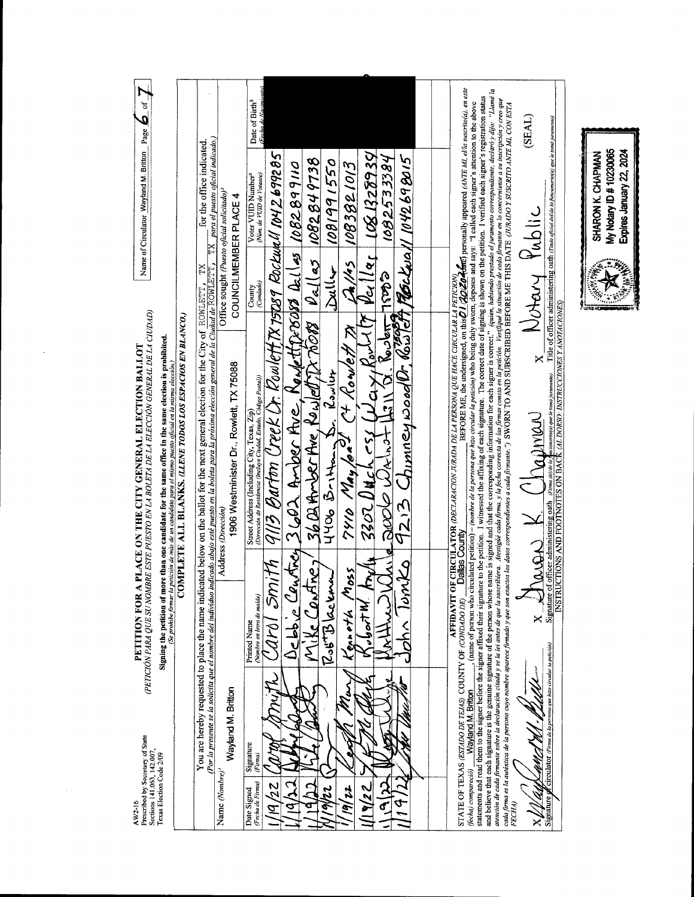| Name of Circulator Wayland M. Britton Page $\mathcal{\mathcal{L}}$ of $\mathcal{\mathcal{I}}$                                                                                                                                                                                                                                                                                                                                               | for the office indicated<br>TX                                                                                                                                                                                                       | $TX$ para el puesto oficial indicado.)<br>Office sought (Puesto oficial solicitado) <sup>2</sup><br>COUNCILMEMBER PLACE 4 | (Fecha de Nacimiento)<br>Date of Birth <sup>3</sup><br>Voter VUID Number <sup>3</sup><br>(Num. de VUD de Votante)<br>(Condado) |                                                                    |                                                | DULL 1081991550                                           |                                          |                                                                                                                                                                                        |      |  |                                                                                                                                                                                                                                                                                                                                                                                                                                                                                                                                                                                                                                                                                                                                                                                                                                                                                                                                                                                                                                                                                                                                                                                                                                                                   | (TV3S)<br>Notary Public | Title of officer administering oath (Titulo oficial delide la funcionario(a) que le tomó juramento)                                                                          | My Notary ID # 10230065<br>SHARON K. CHAPMAN<br>nu uu<br>Ï |
|---------------------------------------------------------------------------------------------------------------------------------------------------------------------------------------------------------------------------------------------------------------------------------------------------------------------------------------------------------------------------------------------------------------------------------------------|--------------------------------------------------------------------------------------------------------------------------------------------------------------------------------------------------------------------------------------|---------------------------------------------------------------------------------------------------------------------------|--------------------------------------------------------------------------------------------------------------------------------|--------------------------------------------------------------------|------------------------------------------------|-----------------------------------------------------------|------------------------------------------|----------------------------------------------------------------------------------------------------------------------------------------------------------------------------------------|------|--|-------------------------------------------------------------------------------------------------------------------------------------------------------------------------------------------------------------------------------------------------------------------------------------------------------------------------------------------------------------------------------------------------------------------------------------------------------------------------------------------------------------------------------------------------------------------------------------------------------------------------------------------------------------------------------------------------------------------------------------------------------------------------------------------------------------------------------------------------------------------------------------------------------------------------------------------------------------------------------------------------------------------------------------------------------------------------------------------------------------------------------------------------------------------------------------------------------------------------------------------------------------------|-------------------------|------------------------------------------------------------------------------------------------------------------------------------------------------------------------------|------------------------------------------------------------|
| (PETICIÓN PARA QUE SU NOMBRE ESTE PUESTO EN LA BOLETA DE LA ELECCIÓN GENERAL DE LA CUDAD)<br>COMPLETE ALL BLANKS. (LLENE TODOS LOS ESPACIOS EN BLANCO.)<br>Signing the petition of more than one candidate for the same office in the same election is prohibited.<br>PETITION FOR A PLACE ON THE CITY GENERAL ELECTION BALLOT<br>(Se probibe firmar la petición de más de un candidato para el mismo puesto oficial en la misma elección.) | indicado abajo esté puesto en la boleta para la próxima elección general de la Ciudad de ROWLETT,<br>You are hereby requested to place the name indicated below on the ballot for the next general election for the City of ROMLETT, | 1906 Westminister Dr., Rowlett, TX 75088<br>Address (Dirección)                                                           | County<br>Street Address (Including City, Texas, Zip)<br>(Dirección de Residencia (Incluye Ciudad, Estado, Código Postal))     | nith  9ll3 Barton Ureck Dr. Rowlett,TX 1stp89 Rockwall 1042.699285 | 3602 Ander Ave, Nanlettpross Delles 1082899110 | $1.36B$ Arber Ave, Kowlett TX 76088 $10$ allas 1082849738 | $\frac{11406}{7910}$ Britten Sr. Rowling | $\frac{225}{200}$ 1910 May /on <sup>21</sup> (+ Kowlett 7) (A/15 1083821013<br>24/4 3302 Duck (51 Way Rowlif Peiller 1081329394<br>26 9213 Chimney wood 0, Rowlett Mortwall 1042698015 |      |  | <b>AFFIDAVIT OF CIRCULATOR</b> (DECLARACION JURADA DE LA PERSONA QUE HACE CIRCULAR LA PETICION)<br>NUMDO DEJ <b>DE DE COUNY</b><br>DE COUNTY<br>and believe that each signature is the genuine signature of the person whose name is signed and the corresponding information for each signer is correct." (quien, habiendo prestudo el juramento correspondiente, declaró y d<br>$\frac{1}{1}$ and the signet before the signet affixed their signature to the potition. I winessed the affixing of each signature. The correct date of signing is shown on the petition. I verified each signet's registration st<br>atención de codo formante sobre la declaración citada y se la lei dia de ale ascribira. Atenia funda, forma conserva de las formas conserva en la pedición. Verifique la situación de coda formante en lo concerniente a su in<br>. (name of person who circulated petition) – (nombre de la persona que hizo circular la petición) who being duly sworn, deposes and says: "I called each signer's attention to the above<br>coda firma os la autónica de la persona cuyo nombre apurece firmado y que son exacta das conespondientes e cada firmante.") SWORN TO AND SUBSCRIBED BEFORE ME THIS DATE (UVALDO Y SUSCRITO ANTE MI. CON ESTA | rais K (Trainer)        | INSTRUCTIONS AND FOOTNOTES ON BACK (AL DORSO: INSTRUCCIONES Y ANOTACIONES)<br>ncionario(a) que le tomó juramento)<br>Signature of officer administering oath Firma deliae la |                                                            |
| Prescribed by Secretary of State<br>Sections 141.063, 142.007,<br>Texas Election Code 2/09<br>AW2-16                                                                                                                                                                                                                                                                                                                                        | (Por la presente se la solicita que el nombre del individuo                                                                                                                                                                          | Wayland M. Britton<br>Name (Nombre)'                                                                                      | (Nombre en letra de molde)<br><b>Printed Name</b><br>Signature<br>(Firma)<br>(Fecha de Firma)<br>Date Signed                   | $\mathscr{E}$<br>22<br>$\bar{\mathcal{Z}}$                         | Debbie Centrey                                 | Mike Contrey<br>Rost Blackma                              | 1055<br>Kenneth<br>$\boldsymbol{z}$<br>Ë | איל אי<br>22<br>è                                                                                                                                                                      | omto |  | STATE OF TEXAS (ESTADO DE TEJAS) COUNTY OF (CONDADO DE)<br><b>Wayland M. Britton</b><br>(fecha) compareció)                                                                                                                                                                                                                                                                                                                                                                                                                                                                                                                                                                                                                                                                                                                                                                                                                                                                                                                                                                                                                                                                                                                                                       | ×<br>FECHA)<br>×        | Circulator (Firma de la persona que hizo circular la petición)<br>Signature                                                                                                  |                                                            |

l,

 $\mathbb{R}^{\mathbb{N}}_{\text{in}}$  with Expires January 22, 2024